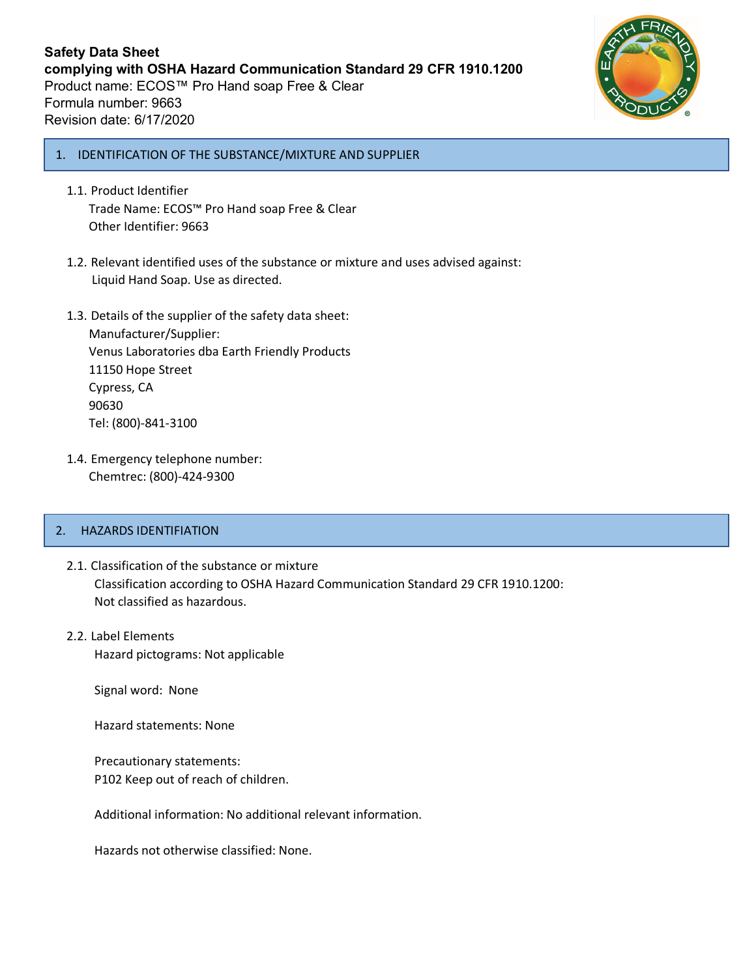

# 1. IDENTIFICATION OF THE SUBSTANCE/MIXTURE AND SUPPLIER

- 1.1. Product Identifier Trade Name: ECOS™ Pro Hand soap Free & Clear Other Identifier: 9663
- 1.2. Relevant identified uses of the substance or mixture and uses advised against: Liquid Hand Soap. Use as directed.
- 1.3. Details of the supplier of the safety data sheet:

Manufacturer/Supplier: Venus Laboratories dba Earth Friendly Products 11150 Hope Street Cypress, CA 90630 Tel: (800)-841-3100

1.4. Emergency telephone number: Chemtrec: (800)-424-9300

# 2. HAZARDS IDENTIFIATION

- 2.1. Classification of the substance or mixture Classification according to OSHA Hazard Communication Standard 29 CFR 1910.1200: Not classified as hazardous.
- 2.2. Label Elements Hazard pictograms: Not applicable

Signal word: None

Hazard statements: None

Precautionary statements: P102 Keep out of reach of children.

Additional information: No additional relevant information.

Hazards not otherwise classified: None.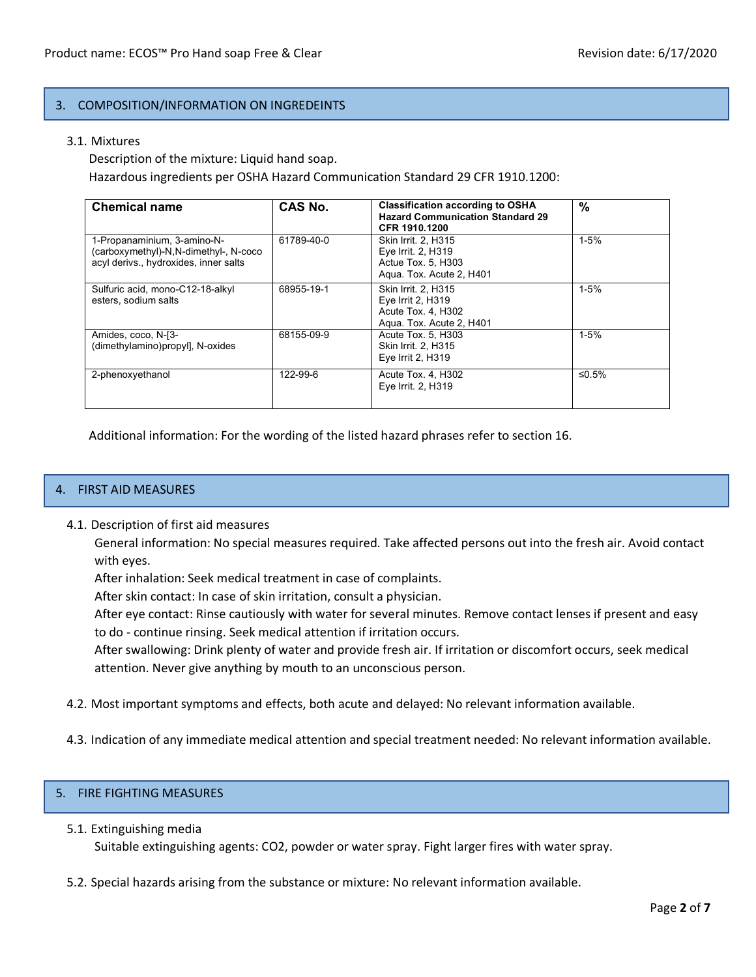# 3. COMPOSITION/INFORMATION ON INGREDEINTS

#### 3.1. Mixtures

Description of the mixture: Liquid hand soap. Hazardous ingredients per OSHA Hazard Communication Standard 29 CFR 1910.1200:

| <b>Chemical name</b>                                                                                           | CAS No.    | <b>Classification according to OSHA</b><br><b>Hazard Communication Standard 29</b><br>CFR 1910.1200 | $\frac{9}{6}$ |
|----------------------------------------------------------------------------------------------------------------|------------|-----------------------------------------------------------------------------------------------------|---------------|
| 1-Propanaminium, 3-amino-N-<br>(carboxymethyl)-N, N-dimethyl-, N-coco<br>acyl derivs., hydroxides, inner salts | 61789-40-0 | <b>Skin Irrit. 2, H315</b><br>Eye Irrit. 2, H319<br>Actue Tox. 5, H303<br>Agua. Tox. Acute 2, H401  | $1 - 5%$      |
| Sulfuric acid, mono-C12-18-alkyl<br>esters, sodium salts                                                       | 68955-19-1 | Skin Irrit. 2, H315<br>Eye Irrit 2, H319<br>Acute Tox. 4, H302<br>Agua. Tox. Acute 2, H401          | $1 - 5%$      |
| Amides, coco, N-[3-<br>(dimethylamino)propyl], N-oxides                                                        | 68155-09-9 | Acute Tox. 5. H303<br><b>Skin Irrit. 2. H315</b><br>Eye Irrit 2, H319                               | $1 - 5%$      |
| 2-phenoxyethanol                                                                                               | 122-99-6   | Acute Tox. 4, H302<br>Eye Irrit. 2, H319                                                            | ≤0.5%         |

Additional information: For the wording of the listed hazard phrases refer to section 16.

# 4. FIRST AID MEASURES

### 4.1. Description of first aid measures

General information: No special measures required. Take affected persons out into the fresh air. Avoid contact with eyes.

After inhalation: Seek medical treatment in case of complaints.

After skin contact: In case of skin irritation, consult a physician.

After eye contact: Rinse cautiously with water for several minutes. Remove contact lenses if present and easy to do - continue rinsing. Seek medical attention if irritation occurs.

After swallowing: Drink plenty of water and provide fresh air. If irritation or discomfort occurs, seek medical attention. Never give anything by mouth to an unconscious person.

- 4.2. Most important symptoms and effects, both acute and delayed: No relevant information available.
- 4.3. Indication of any immediate medical attention and special treatment needed: No relevant information available.

# 5. FIRE FIGHTING MEASURES

### 5.1. Extinguishing media

Suitable extinguishing agents: CO2, powder or water spray. Fight larger fires with water spray.

5.2. Special hazards arising from the substance or mixture: No relevant information available.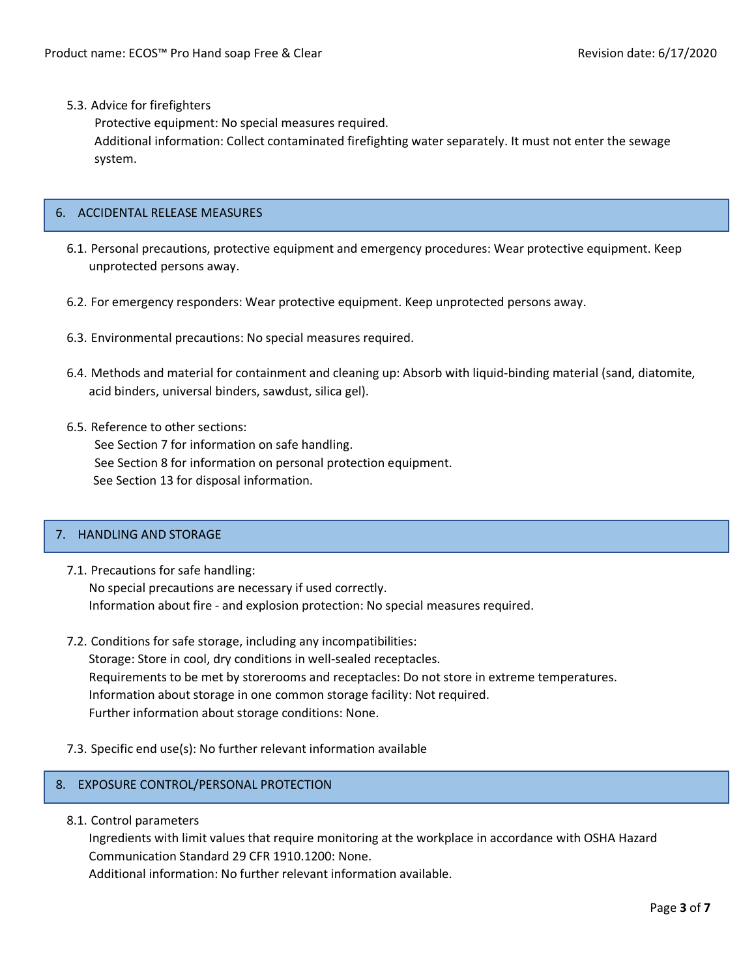5.3. Advice for firefighters

Protective equipment: No special measures required.

Additional information: Collect contaminated firefighting water separately. It must not enter the sewage system.

## 6. ACCIDENTAL RELEASE MEASURES

- 6.1. Personal precautions, protective equipment and emergency procedures: Wear protective equipment. Keep unprotected persons away.
- 6.2. For emergency responders: Wear protective equipment. Keep unprotected persons away.
- 6.3. Environmental precautions: No special measures required.
- 6.4. Methods and material for containment and cleaning up: Absorb with liquid-binding material (sand, diatomite, acid binders, universal binders, sawdust, silica gel).
- 6.5. Reference to other sections:

See Section 7 for information on safe handling. See Section 8 for information on personal protection equipment. See Section 13 for disposal information.

# 7. HANDLING AND STORAGE

- 7.1. Precautions for safe handling: No special precautions are necessary if used correctly. Information about fire - and explosion protection: No special measures required.
- 7.2. Conditions for safe storage, including any incompatibilities: Storage: Store in cool, dry conditions in well-sealed receptacles. Requirements to be met by storerooms and receptacles: Do not store in extreme temperatures. Information about storage in one common storage facility: Not required. Further information about storage conditions: None.
- 7.3. Specific end use(s): No further relevant information available

### 8. EXPOSURE CONTROL/PERSONAL PROTECTION

8.1. Control parameters

Ingredients with limit values that require monitoring at the workplace in accordance with OSHA Hazard Communication Standard 29 CFR 1910.1200: None. Additional information: No further relevant information available.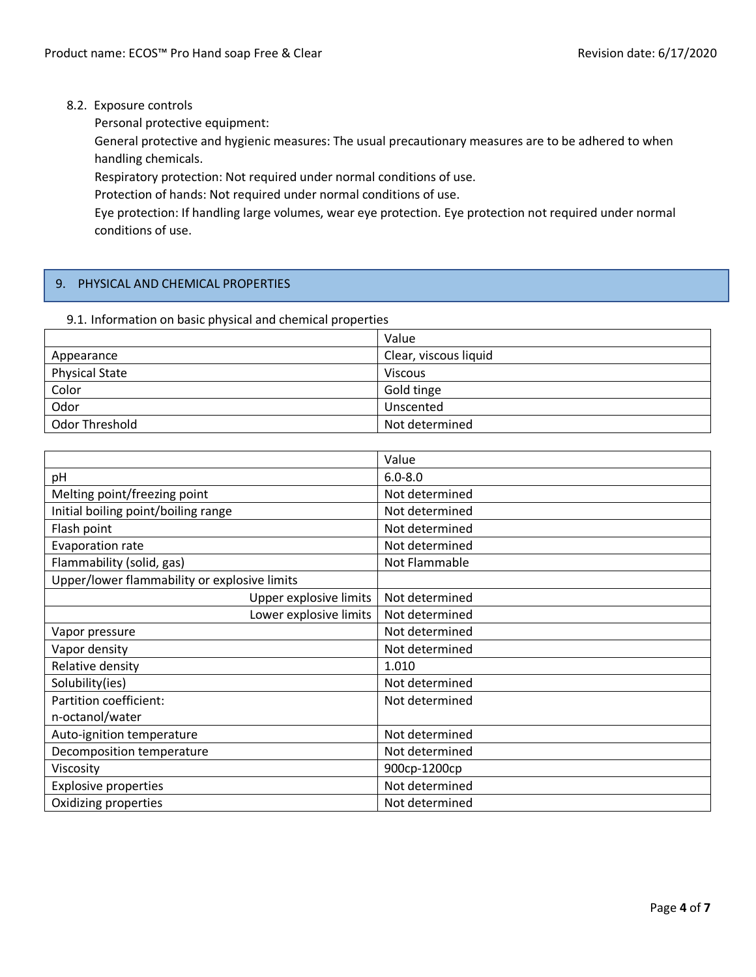## 8.2. Exposure controls

Personal protective equipment:

General protective and hygienic measures: The usual precautionary measures are to be adhered to when handling chemicals.

Respiratory protection: Not required under normal conditions of use.

Protection of hands: Not required under normal conditions of use.

Eye protection: If handling large volumes, wear eye protection. Eye protection not required under normal conditions of use.

# 9. PHYSICAL AND CHEMICAL PROPERTIES

### 9.1. Information on basic physical and chemical properties

|                       | Value                 |
|-----------------------|-----------------------|
| Appearance            | Clear, viscous liquid |
| <b>Physical State</b> | <b>Viscous</b>        |
| Color                 | Gold tinge            |
| Odor                  | Unscented             |
| Odor Threshold        | Not determined        |

|                                              | Value          |
|----------------------------------------------|----------------|
| pH                                           | $6.0 - 8.0$    |
| Melting point/freezing point                 | Not determined |
| Initial boiling point/boiling range          | Not determined |
| Flash point                                  | Not determined |
| Evaporation rate                             | Not determined |
| Flammability (solid, gas)                    | Not Flammable  |
| Upper/lower flammability or explosive limits |                |
| Upper explosive limits                       | Not determined |
| Lower explosive limits                       | Not determined |
| Vapor pressure                               | Not determined |
| Vapor density                                | Not determined |
| Relative density                             | 1.010          |
| Solubility(ies)                              | Not determined |
| Partition coefficient:                       | Not determined |
| n-octanol/water                              |                |
| Auto-ignition temperature                    | Not determined |
| Decomposition temperature                    | Not determined |
| Viscosity                                    | 900ср-1200ср   |
| <b>Explosive properties</b>                  | Not determined |
| Oxidizing properties                         | Not determined |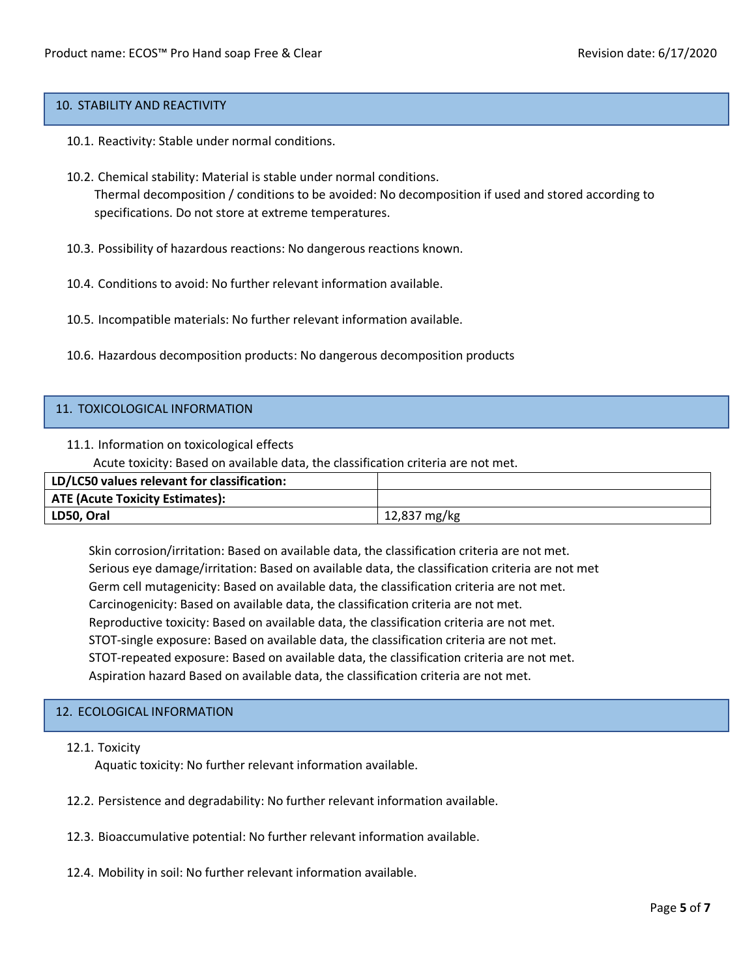## 10. STABILITY AND REACTIVITY

- 10.1. Reactivity: Stable under normal conditions.
- 10.2. Chemical stability: Material is stable under normal conditions. Thermal decomposition / conditions to be avoided: No decomposition if used and stored according to specifications. Do not store at extreme temperatures.
- 10.3. Possibility of hazardous reactions: No dangerous reactions known.
- 10.4. Conditions to avoid: No further relevant information available.
- 10.5. Incompatible materials: No further relevant information available.
- 10.6. Hazardous decomposition products: No dangerous decomposition products

## 11. TOXICOLOGICAL INFORMATION

### 11.1. Information on toxicological effects

Acute toxicity: Based on available data, the classification criteria are not met.

| LD/LC50 values relevant for classification: |              |
|---------------------------------------------|--------------|
| ATE (Acute Toxicity Estimates):             |              |
| LD50, Oral                                  | 12,837 mg/kg |

Skin corrosion/irritation: Based on available data, the classification criteria are not met. Serious eye damage/irritation: Based on available data, the classification criteria are not met Germ cell mutagenicity: Based on available data, the classification criteria are not met. Carcinogenicity: Based on available data, the classification criteria are not met. Reproductive toxicity: Based on available data, the classification criteria are not met. STOT-single exposure: Based on available data, the classification criteria are not met. STOT-repeated exposure: Based on available data, the classification criteria are not met. Aspiration hazard Based on available data, the classification criteria are not met.

# 12. ECOLOGICAL INFORMATION

### 12.1. Toxicity

Aquatic toxicity: No further relevant information available.

- 12.2. Persistence and degradability: No further relevant information available.
- 12.3. Bioaccumulative potential: No further relevant information available.
- 12.4. Mobility in soil: No further relevant information available.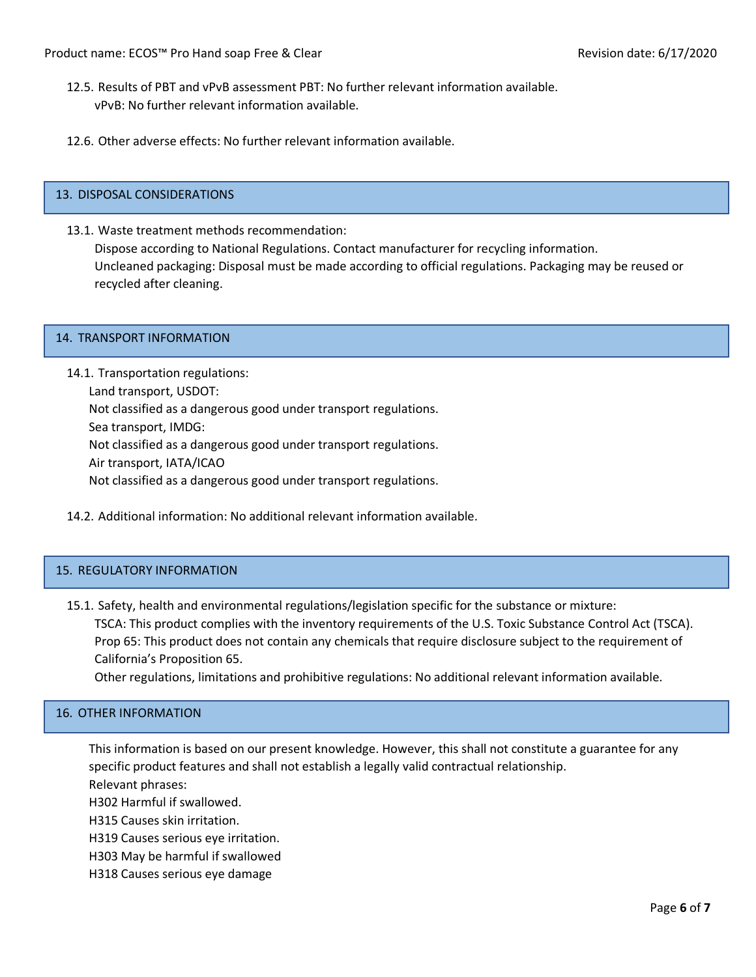- 12.5. Results of PBT and vPvB assessment PBT: No further relevant information available. vPvB: No further relevant information available.
- 12.6. Other adverse effects: No further relevant information available.

### 13. DISPOSAL CONSIDERATIONS

13.1. Waste treatment methods recommendation: Dispose according to National Regulations. Contact manufacturer for recycling information. Uncleaned packaging: Disposal must be made according to official regulations. Packaging may be reused or recycled after cleaning.

#### 14. TRANSPORT INFORMATION

14.1. Transportation regulations:

Land transport, USDOT: Not classified as a dangerous good under transport regulations. Sea transport, IMDG: Not classified as a dangerous good under transport regulations. Air transport, IATA/ICAO Not classified as a dangerous good under transport regulations.

14.2. Additional information: No additional relevant information available.

### 15. REGULATORY INFORMATION

15.1. Safety, health and environmental regulations/legislation specific for the substance or mixture: TSCA: This product complies with the inventory requirements of the U.S. Toxic Substance Control Act (TSCA). Prop 65: This product does not contain any chemicals that require disclosure subject to the requirement of California's Proposition 65.

Other regulations, limitations and prohibitive regulations: No additional relevant information available.

### 16. OTHER INFORMATION

This information is based on our present knowledge. However, this shall not constitute a guarantee for any specific product features and shall not establish a legally valid contractual relationship. Relevant phrases:

H302 Harmful if swallowed.

H315 Causes skin irritation.

H319 Causes serious eye irritation.

H303 May be harmful if swallowed

H318 Causes serious eye damage